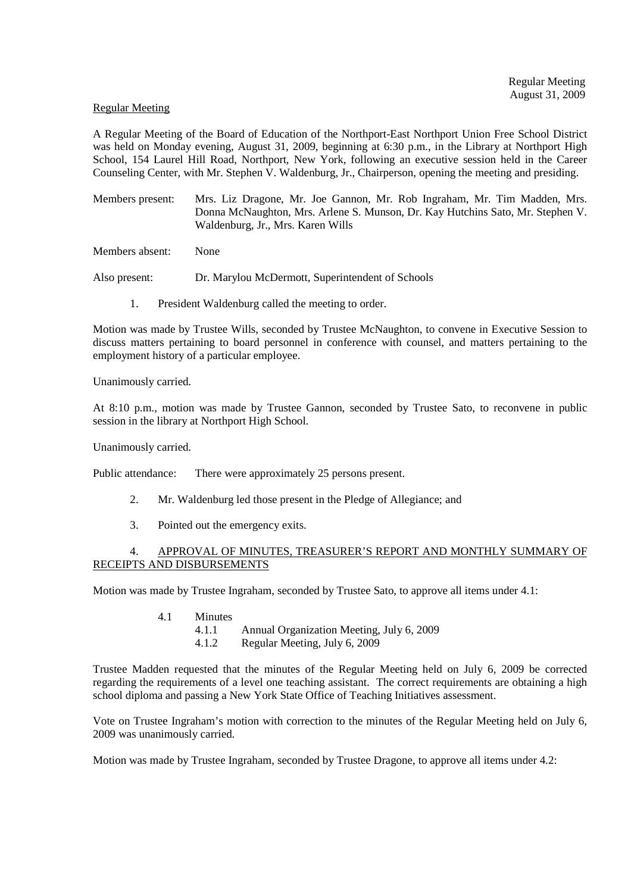#### Regular Meeting

A Regular Meeting of the Board of Education of the Northport-East Northport Union Free School District was held on Monday evening, August 31, 2009, beginning at 6:30 p.m., in the Library at Northport High School, 154 Laurel Hill Road, Northport, New York, following an executive session held in the Career Counseling Center, with Mr. Stephen V. Waldenburg, Jr., Chairperson, opening the meeting and presiding.

Members present: Mrs. Liz Dragone, Mr. Joe Gannon, Mr. Rob Ingraham, Mr. Tim Madden, Mrs. Donna McNaughton, Mrs. Arlene S. Munson, Dr. Kay Hutchins Sato, Mr. Stephen V. Waldenburg, Jr., Mrs. Karen Wills

Members absent: None

Also present: Dr. Marylou McDermott, Superintendent of Schools

1. President Waldenburg called the meeting to order.

Motion was made by Trustee Wills, seconded by Trustee McNaughton, to convene in Executive Session to discuss matters pertaining to board personnel in conference with counsel, and matters pertaining to the employment history of a particular employee.

Unanimously carried.

At 8:10 p.m., motion was made by Trustee Gannon, seconded by Trustee Sato, to reconvene in public session in the library at Northport High School.

Unanimously carried.

Public attendance: There were approximately 25 persons present.

- 2. Mr. Waldenburg led those present in the Pledge of Allegiance; and
- 3. Pointed out the emergency exits.

## 4. APPROVAL OF MINUTES, TREASURER'S REPORT AND MONTHLY SUMMARY OF RECEIPTS AND DISBURSEMENTS

Motion was made by Trustee Ingraham, seconded by Trustee Sato, to approve all items under 4.1:

- 4.1 Minutes
	- 4.1.1 Annual Organization Meeting, July 6, 2009
	- 4.1.2 Regular Meeting, July 6, 2009

Trustee Madden requested that the minutes of the Regular Meeting held on July 6, 2009 be corrected regarding the requirements of a level one teaching assistant. The correct requirements are obtaining a high school diploma and passing a New York State Office of Teaching Initiatives assessment.

Vote on Trustee Ingraham's motion with correction to the minutes of the Regular Meeting held on July 6, 2009 was unanimously carried.

Motion was made by Trustee Ingraham, seconded by Trustee Dragone, to approve all items under 4.2: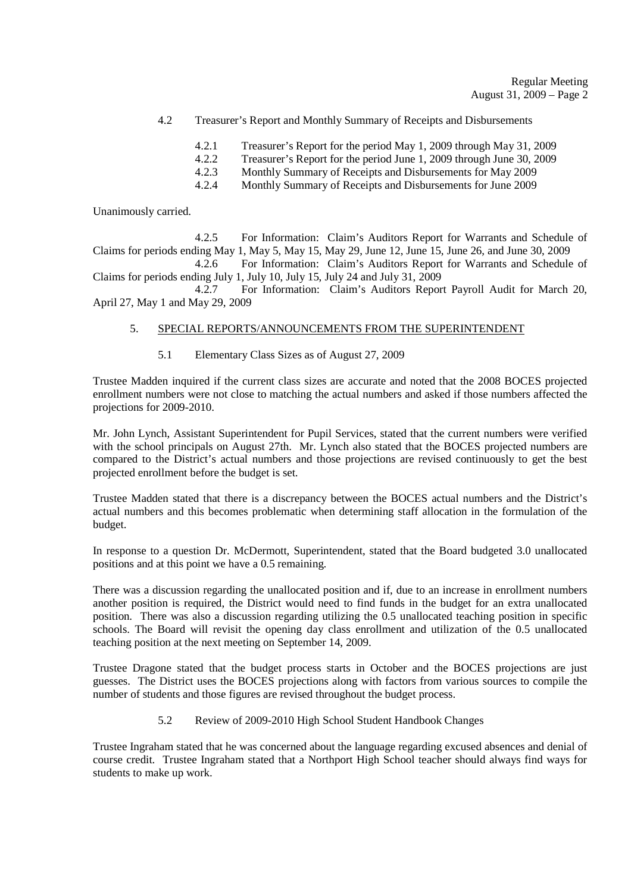- 4.2 Treasurer's Report and Monthly Summary of Receipts and Disbursements
	- 4.2.1 Treasurer's Report for the period May 1, 2009 through May 31, 2009<br>4.2.2 Treasurer's Report for the period June 1, 2009 through June 30, 2009
	- 4.2.2 Treasurer's Report for the period June 1, 2009 through June 30, 2009<br>4.2.3 Monthly Summary of Receipts and Disbursements for May 2009
	- Monthly Summary of Receipts and Disbursements for May 2009
	- 4.2.4 Monthly Summary of Receipts and Disbursements for June 2009

Unanimously carried.

 4.2.5 For Information: Claim's Auditors Report for Warrants and Schedule of Claims for periods ending May 1, May 5, May 15, May 29, June 12, June 15, June 26, and June 30, 2009 4.2.6 For Information: Claim's Auditors Report for Warrants and Schedule of Claims for periods ending July 1, July 10, July 15, July 24 and July 31, 2009

 4.2.7 For Information: Claim's Auditors Report Payroll Audit for March 20, April 27, May 1 and May 29, 2009

#### 5. SPECIAL REPORTS/ANNOUNCEMENTS FROM THE SUPERINTENDENT

5.1 Elementary Class Sizes as of August 27, 2009

Trustee Madden inquired if the current class sizes are accurate and noted that the 2008 BOCES projected enrollment numbers were not close to matching the actual numbers and asked if those numbers affected the projections for 2009-2010.

Mr. John Lynch, Assistant Superintendent for Pupil Services, stated that the current numbers were verified with the school principals on August 27th. Mr. Lynch also stated that the BOCES projected numbers are compared to the District's actual numbers and those projections are revised continuously to get the best projected enrollment before the budget is set.

Trustee Madden stated that there is a discrepancy between the BOCES actual numbers and the District's actual numbers and this becomes problematic when determining staff allocation in the formulation of the budget.

In response to a question Dr. McDermott, Superintendent, stated that the Board budgeted 3.0 unallocated positions and at this point we have a 0.5 remaining.

There was a discussion regarding the unallocated position and if, due to an increase in enrollment numbers another position is required, the District would need to find funds in the budget for an extra unallocated position. There was also a discussion regarding utilizing the 0.5 unallocated teaching position in specific schools. The Board will revisit the opening day class enrollment and utilization of the 0.5 unallocated teaching position at the next meeting on September 14, 2009.

Trustee Dragone stated that the budget process starts in October and the BOCES projections are just guesses. The District uses the BOCES projections along with factors from various sources to compile the number of students and those figures are revised throughout the budget process.

5.2 Review of 2009-2010 High School Student Handbook Changes

Trustee Ingraham stated that he was concerned about the language regarding excused absences and denial of course credit. Trustee Ingraham stated that a Northport High School teacher should always find ways for students to make up work.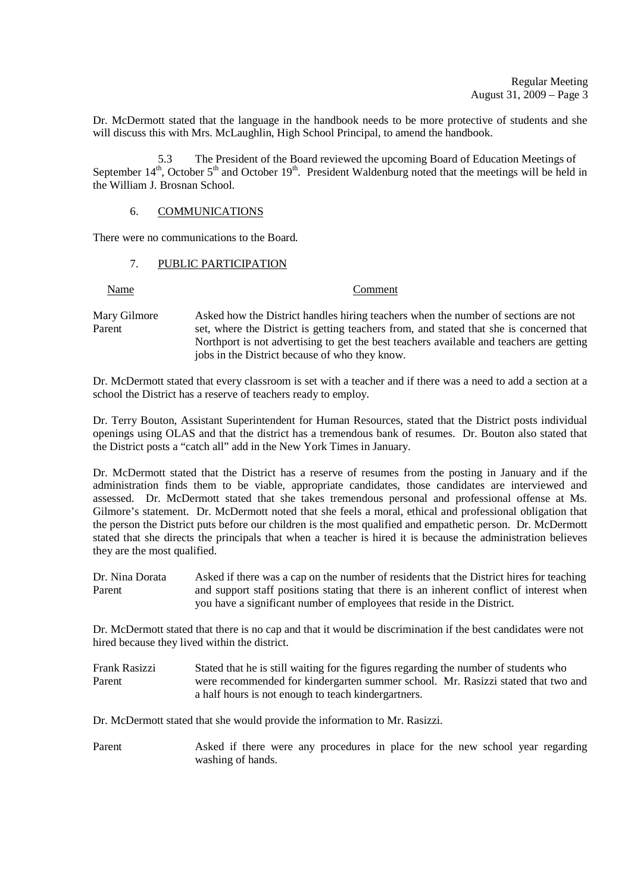Dr. McDermott stated that the language in the handbook needs to be more protective of students and she will discuss this with Mrs. McLaughlin, High School Principal, to amend the handbook.

5.3 The President of the Board reviewed the upcoming Board of Education Meetings of September  $14<sup>th</sup>$ , October  $5<sup>th</sup>$  and October  $19<sup>th</sup>$ . President Waldenburg noted that the meetings will be held in the William J. Brosnan School.

#### 6. COMMUNICATIONS

There were no communications to the Board.

### 7. PUBLIC PARTICIPATION

Name Comment

Mary Gilmore Asked how the District handles hiring teachers when the number of sections are not Parent set, where the District is getting teachers from, and stated that she is concerned that Northport is not advertising to get the best teachers available and teachers are getting jobs in the District because of who they know.

Dr. McDermott stated that every classroom is set with a teacher and if there was a need to add a section at a school the District has a reserve of teachers ready to employ.

Dr. Terry Bouton, Assistant Superintendent for Human Resources, stated that the District posts individual openings using OLAS and that the district has a tremendous bank of resumes. Dr. Bouton also stated that the District posts a "catch all" add in the New York Times in January.

Dr. McDermott stated that the District has a reserve of resumes from the posting in January and if the administration finds them to be viable, appropriate candidates, those candidates are interviewed and assessed. Dr. McDermott stated that she takes tremendous personal and professional offense at Ms. Gilmore's statement. Dr. McDermott noted that she feels a moral, ethical and professional obligation that the person the District puts before our children is the most qualified and empathetic person. Dr. McDermott stated that she directs the principals that when a teacher is hired it is because the administration believes they are the most qualified.

Dr. Nina Dorata Asked if there was a cap on the number of residents that the District hires for teaching Parent and support staff positions stating that there is an inherent conflict of interest when you have a significant number of employees that reside in the District.

Dr. McDermott stated that there is no cap and that it would be discrimination if the best candidates were not hired because they lived within the district.

| Frank Rasizzi | Stated that he is still waiting for the figures regarding the number of students who |
|---------------|--------------------------------------------------------------------------------------|
| Parent        | were recommended for kindergarten summer school. Mr. Rasizzi stated that two and     |
|               | a half hours is not enough to teach kindergartners.                                  |

Dr. McDermott stated that she would provide the information to Mr. Rasizzi.

Parent Asked if there were any procedures in place for the new school year regarding washing of hands.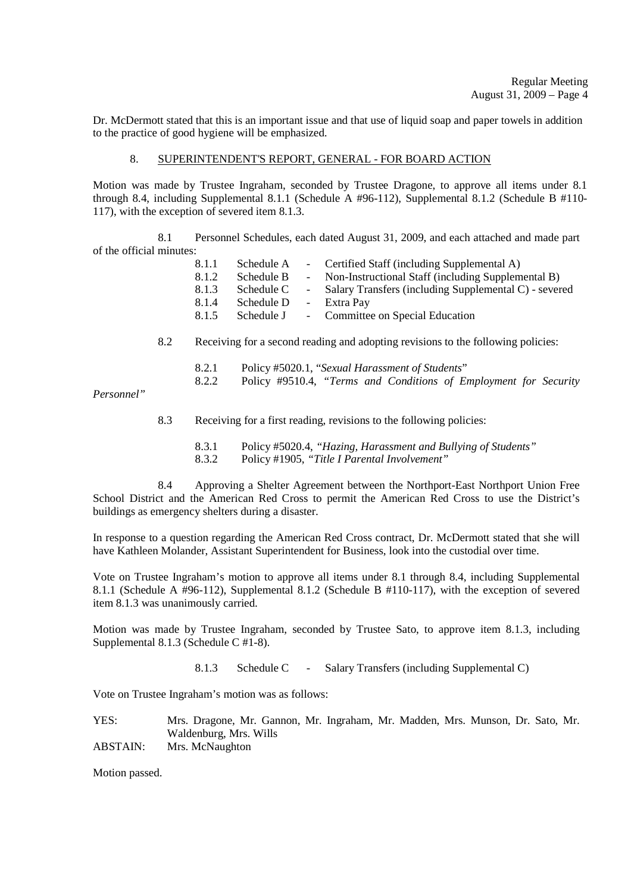Dr. McDermott stated that this is an important issue and that use of liquid soap and paper towels in addition to the practice of good hygiene will be emphasized.

#### 8. SUPERINTENDENT'S REPORT, GENERAL - FOR BOARD ACTION

Motion was made by Trustee Ingraham, seconded by Trustee Dragone, to approve all items under 8.1 through 8.4, including Supplemental 8.1.1 (Schedule A #96-112), Supplemental 8.1.2 (Schedule B #110- 117), with the exception of severed item 8.1.3.

 8.1 Personnel Schedules, each dated August 31, 2009, and each attached and made part of the official minutes:

| 8.1.1 | Schedule A | - Certified Staff (including Supplemental A)            |
|-------|------------|---------------------------------------------------------|
| 8.1.2 | Schedule B | - Non-Instructional Staff (including Supplemental B)    |
| 8.1.3 | Schedule C | - Salary Transfers (including Supplemental C) - severed |
| 8.1.4 | Schedule D | - Extra Pay                                             |
| 8.1.5 | Schedule J | - Committee on Special Education                        |
|       |            |                                                         |

- 8.2 Receiving for a second reading and adopting revisions to the following policies:
	- 8.2.1 Policy #5020.1, "*Sexual Harassment of Students*" 8.2.2 Policy #9510.4, *"Terms and Conditions of Employment for Security*

*Personnel"*

8.3 Receiving for a first reading, revisions to the following policies:

8.3.1 Policy #5020.4, *"Hazing, Harassment and Bullying of Students"* 8.3.2 Policy #1905, *"Title I Parental Involvement"* 

 8.4 Approving a Shelter Agreement between the Northport-East Northport Union Free School District and the American Red Cross to permit the American Red Cross to use the District's buildings as emergency shelters during a disaster.

In response to a question regarding the American Red Cross contract, Dr. McDermott stated that she will have Kathleen Molander, Assistant Superintendent for Business, look into the custodial over time.

Vote on Trustee Ingraham's motion to approve all items under 8.1 through 8.4, including Supplemental 8.1.1 (Schedule A #96-112), Supplemental 8.1.2 (Schedule B #110-117), with the exception of severed item 8.1.3 was unanimously carried.

Motion was made by Trustee Ingraham, seconded by Trustee Sato, to approve item 8.1.3, including Supplemental 8.1.3 (Schedule C #1-8).

8.1.3 Schedule C - Salary Transfers (including Supplemental C)

Vote on Trustee Ingraham's motion was as follows:

YES: Mrs. Dragone, Mr. Gannon, Mr. Ingraham, Mr. Madden, Mrs. Munson, Dr. Sato, Mr. Waldenburg, Mrs. Wills ABSTAIN: Mrs. McNaughton

Motion passed.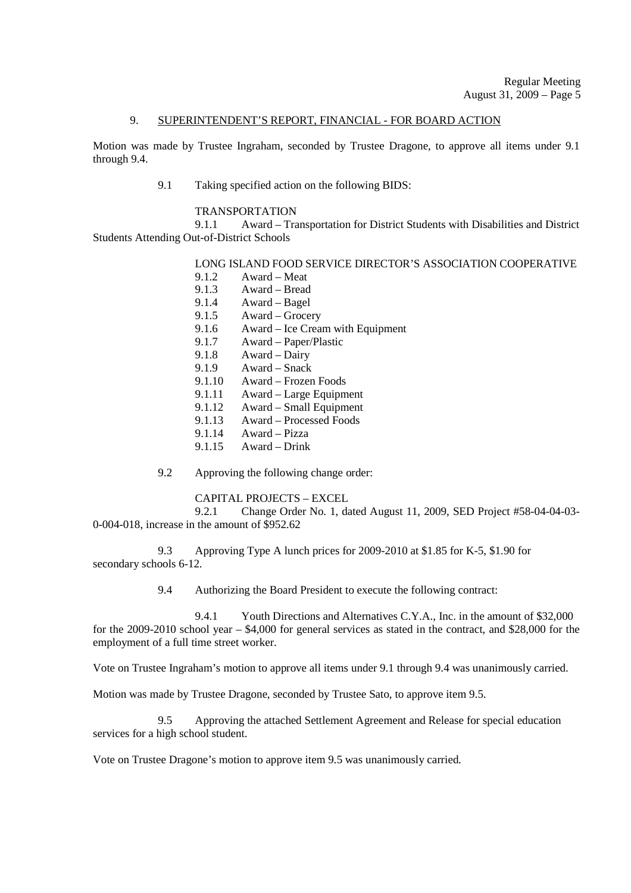#### 9. SUPERINTENDENT'S REPORT, FINANCIAL - FOR BOARD ACTION

Motion was made by Trustee Ingraham, seconded by Trustee Dragone, to approve all items under 9.1 through 9.4.

9.1 Taking specified action on the following BIDS:

#### TRANSPORTATION

9.1.1 Award – Transportation for District Students with Disabilities and District Students Attending Out-of-District Schools

# LONG ISLAND FOOD SERVICE DIRECTOR'S ASSOCIATION COOPERATIVE

- 9.1.2 Award Meat
- 9.1.3 Award Bread
- 9.1.4 Award Bagel
- 9.1.5 Award Grocery
- 9.1.6 Award Ice Cream with Equipment
- 9.1.7 Award Paper/Plastic<br>9.1.8 Award Dairy
- Award Dairy
- 9.1.9 Award Snack
- 9.1.10 Award Frozen Foods
- 9.1.11 Award Large Equipment
- 9.1.12 Award Small Equipment
- 9.1.13 Award Processed Foods
- 9.1.14 Award Pizza
- 9.1.15 Award Drink
- 9.2 Approving the following change order:

#### CAPITAL PROJECTS – EXCEL

 9.2.1 Change Order No. 1, dated August 11, 2009, SED Project #58-04-04-03- 0-004-018, increase in the amount of \$952.62

9.3 Approving Type A lunch prices for 2009-2010 at \$1.85 for K-5, \$1.90 for secondary schools 6-12.

9.4 Authorizing the Board President to execute the following contract:

 9.4.1 Youth Directions and Alternatives C.Y.A., Inc. in the amount of \$32,000 for the 2009-2010 school year – \$4,000 for general services as stated in the contract, and \$28,000 for the employment of a full time street worker.

Vote on Trustee Ingraham's motion to approve all items under 9.1 through 9.4 was unanimously carried.

Motion was made by Trustee Dragone, seconded by Trustee Sato, to approve item 9.5.

9.5 Approving the attached Settlement Agreement and Release for special education services for a high school student.

Vote on Trustee Dragone's motion to approve item 9.5 was unanimously carried.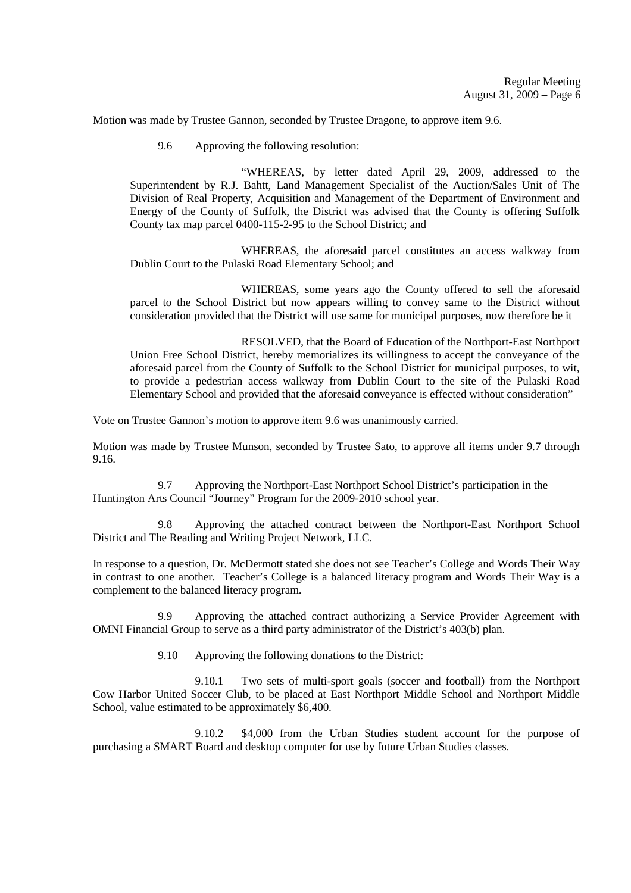Motion was made by Trustee Gannon, seconded by Trustee Dragone, to approve item 9.6.

9.6 Approving the following resolution:

 "WHEREAS, by letter dated April 29, 2009, addressed to the Superintendent by R.J. Bahtt, Land Management Specialist of the Auction/Sales Unit of The Division of Real Property, Acquisition and Management of the Department of Environment and Energy of the County of Suffolk, the District was advised that the County is offering Suffolk County tax map parcel 0400-115-2-95 to the School District; and

 WHEREAS, the aforesaid parcel constitutes an access walkway from Dublin Court to the Pulaski Road Elementary School; and

 WHEREAS, some years ago the County offered to sell the aforesaid parcel to the School District but now appears willing to convey same to the District without consideration provided that the District will use same for municipal purposes, now therefore be it

 RESOLVED, that the Board of Education of the Northport-East Northport Union Free School District, hereby memorializes its willingness to accept the conveyance of the aforesaid parcel from the County of Suffolk to the School District for municipal purposes, to wit, to provide a pedestrian access walkway from Dublin Court to the site of the Pulaski Road Elementary School and provided that the aforesaid conveyance is effected without consideration"

Vote on Trustee Gannon's motion to approve item 9.6 was unanimously carried.

Motion was made by Trustee Munson, seconded by Trustee Sato, to approve all items under 9.7 through 9.16.

 9.7 Approving the Northport-East Northport School District's participation in the Huntington Arts Council "Journey" Program for the 2009-2010 school year.

 9.8 Approving the attached contract between the Northport-East Northport School District and The Reading and Writing Project Network, LLC.

In response to a question, Dr. McDermott stated she does not see Teacher's College and Words Their Way in contrast to one another. Teacher's College is a balanced literacy program and Words Their Way is a complement to the balanced literacy program.

 9.9 Approving the attached contract authorizing a Service Provider Agreement with OMNI Financial Group to serve as a third party administrator of the District's 403(b) plan.

9.10 Approving the following donations to the District:

 9.10.1 Two sets of multi-sport goals (soccer and football) from the Northport Cow Harbor United Soccer Club, to be placed at East Northport Middle School and Northport Middle School, value estimated to be approximately \$6,400.

 9.10.2 \$4,000 from the Urban Studies student account for the purpose of purchasing a SMART Board and desktop computer for use by future Urban Studies classes.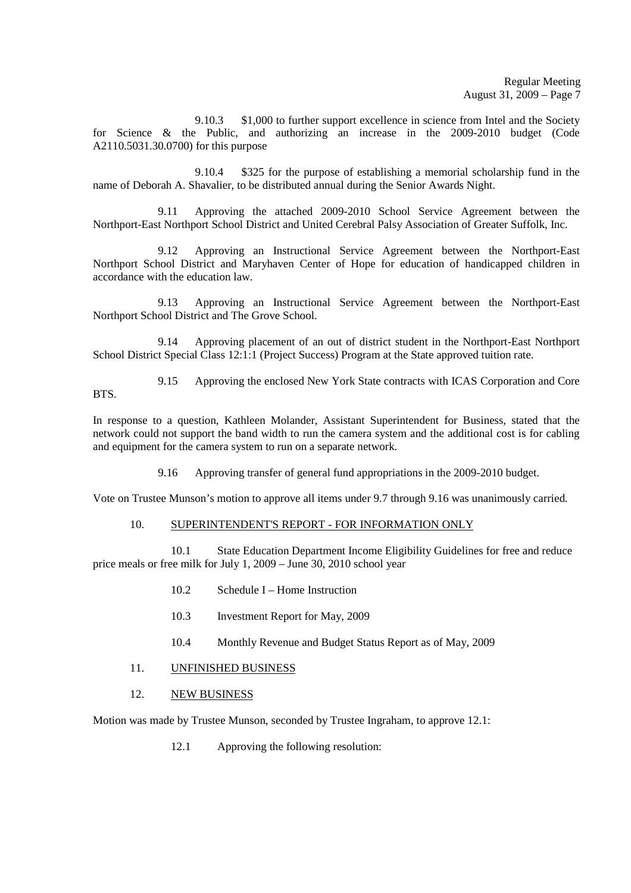9.10.3 \$1,000 to further support excellence in science from Intel and the Society for Science & the Public, and authorizing an increase in the 2009-2010 budget (Code A2110.5031.30.0700) for this purpose

 9.10.4 \$325 for the purpose of establishing a memorial scholarship fund in the name of Deborah A. Shavalier, to be distributed annual during the Senior Awards Night.

 9.11 Approving the attached 2009-2010 School Service Agreement between the Northport-East Northport School District and United Cerebral Palsy Association of Greater Suffolk, Inc.

 9.12 Approving an Instructional Service Agreement between the Northport-East Northport School District and Maryhaven Center of Hope for education of handicapped children in accordance with the education law.

 9.13 Approving an Instructional Service Agreement between the Northport-East Northport School District and The Grove School.

 9.14 Approving placement of an out of district student in the Northport-East Northport School District Special Class 12:1:1 (Project Success) Program at the State approved tuition rate.

 9.15 Approving the enclosed New York State contracts with ICAS Corporation and Core **BTS**.

In response to a question, Kathleen Molander, Assistant Superintendent for Business, stated that the network could not support the band width to run the camera system and the additional cost is for cabling and equipment for the camera system to run on a separate network.

9.16 Approving transfer of general fund appropriations in the 2009-2010 budget.

Vote on Trustee Munson's motion to approve all items under 9.7 through 9.16 was unanimously carried.

# 10. SUPERINTENDENT'S REPORT - FOR INFORMATION ONLY

10.1 State Education Department Income Eligibility Guidelines for free and reduce price meals or free milk for July 1, 2009 – June 30, 2010 school year

- 10.2 Schedule I Home Instruction
- 10.3 Investment Report for May, 2009
- 10.4 Monthly Revenue and Budget Status Report as of May, 2009
- 11. UNFINISHED BUSINESS
- 12. NEW BUSINESS

Motion was made by Trustee Munson, seconded by Trustee Ingraham, to approve 12.1:

12.1 Approving the following resolution: